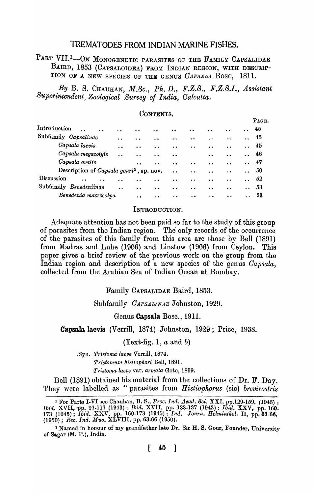# TREMATODES FROM INDIAN MARINE FISHES.

PART VII.<sup>1</sup>-ON MONOGENETIC PARASITES OF THE FAMILY CAPSALIDAE BAIRD, 1853 (CAPSALOIDEA) FROM INDIAN REGION, WITH DESCRIP-TION OF A NEW SPECIES OF THE GENUS *OAPSALA* Bosc, 1811.

By B. S. CHAUHAN, *M.Sc., Ph. D., F.Z.S., F.Z.S.I., Assistant Superintendent, Zoological Survey of India, Oalcutta.* 

CONTENTS.

#### PAGE. Introduction 45  $\ddot{\phantom{a}}$  $\ddot{\phantom{0}}$  $\ddot{\phantom{a}}$  $\ddot{\phantom{a}}$ Subfamily *Oapsalinae*  45  $\ddot{\phantom{a}}$  $\ddot{\phantom{a}}$  $\ddot{\phantom{a}}$  $\ddot{\phantom{a}}$ *Oapsala laevis*  •• 45  $\dddot{\bullet}$  $\ddot{\phantom{0}}$  $\ddot{\cdot}$  $\ddot{\phantom{a}}$  $\ddot{\phantom{a}}$  $\ddot{\phantom{a}}$ *Oapsala megacotyle*  .. 46  $\dddot{\bullet}$  $\dddot{\bullet}$  $\dddot{\bullet}$  $\ddot{\phantom{a}}$ *Oapsala ovalis*  47  $\ddot{\cdot}$  $\ddot{\phantom{a}}$  $\ddot{\bullet}$  $\ddot{\bullet}$  $\ddot{\phantom{a}}$ Description of *Oapsala gouri*<sup>2</sup>, ap. nov. 50  $\ddot{\phantom{a}}$  $\ddot{\phantom{a}}$  $\ddot{\phantom{a}}$ Discussion  $\ddot{\phantom{a}}$ .. 52  $\ddot{\phantom{a}}$  $\ddot{\phantom{a}}$  $\ddot{\phantom{a}}$  $\ddot{\phantom{a}}$  $\ddot{\phantom{a}}$  $\ddot{\cdot}$  $\ddot{\phantom{a}}$ Subfamily *Benedeniinae*  .• 53  $\dddot{\bullet}$  $\ddot{\phantom{a}}$  $\ddot{\bullet}$  $\ddot{\phantom{a}}$  $\ddot{\phantom{a}}$ *Benedenia macrocolpa*  .. 53  $\ddot{\phantom{a}}$  $\ddot{\phantom{a}}$  $\ddot{\phantom{a}}$  $\ddot{\phantom{a}}$  $\ddot{\phantom{a}}$  $\ddot{\cdot}$

#### INTRODUCTION.

Adequate attention has not been paid so far to the study of this group of parasites from the Indian region. The only records of the occurrence of the parasites of this family from this area are those by Bell (1891) from Madras and Luhe (1906) and Linstow (1906) from Ceylon. This paper gives a brief review of the previous work on the group from the Indian region and description of a new species of the genus *Oapsala,*  collected from the Arabian Sea of Indian Ocean at Bombay.

#### Family CAPSALIDAE Baird, 1853.

#### Subfamily *OAPSALINAE* Johnston, 1929.

### Genus Capsala Bose., 1911.

#### Capsala Iaevis (Verrill, 1874) Johnston, 1929; Price, 1938.

(Text-fig. 1, *a* and b)

.8yn. *Tristoma laeve* Verrill, 1874. *Tristom'ltm histiophori* Bell, 1891. *Tristoma laeve* var. *armata* Goto, 1899.

Bell (1891) obtained his material from the collections of Dr. F. Day. They were labelled as "parasites from *Histiophorus* (sic) *brevirostris* 

<sup>1</sup> For Parts I-VI see Chauhan, B. S., *Proc. Ind. Acad. Sci.* XXI, pp.129-159. (1945) ; *Ibid.* XVII, pp. 97-117 (1943) ; *Ibid.* XVII, pp. 133-137 (1943); *Ibid.* XXV, pp. 160. 173 (1945); *Ibid.* XXV) pp. 160-173 (1945); *Ind. Journ. Ilelminthol.* II, pp.63-66. *(1950); Rec. Ind. Mus.* XLVIII, pp. 63-66 (1950).

<sup>&</sup>lt;sup>2</sup> Named in honour of my grandfather late Dr. Sir H. S. Gour, Founder, University of Sagar (M. P.), India.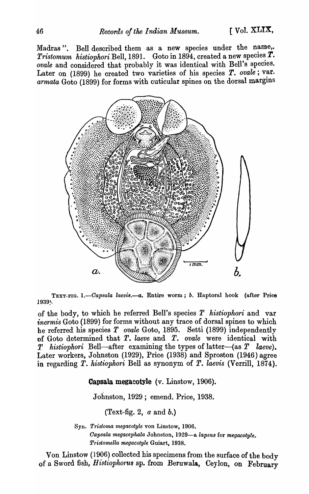Madras". Bell described them as a new species under the name,. *Tristomum histiophori* Bell, 1891. Goto in 1894, created a new species  $\boldsymbol{T}$ . ovale and considered that probably it was identical with Bell's species. Later on (1899) he created two varieties of his species T. ovale; var. armata Goto (1899) for forms with cuticular spines on the dorsal margins



TEXT-FIG. 1.-Capsala laevis.--a. Entire worm; *b.* Haptoral hook (after Price 1939~.

of the body, to which he referred Bell's species *T* histiophori and var *inermis* Goto (1899) for forms without any trace of dorsal spines to which he referred his species *T ovale* Goto, 1895. Setti (1899) independently of Goto determined that T. *laeve* and T. *ovale* were identical with T *histiophori* Bell—after examining the types of latter—(as T *laeve*). Later workers, Johnston (1929), Price (1938) and Sproston (1946) agree in regarding T. *histiophori* Bell as synonym of T. *laevis* (Verrill, 1874).

Capsala megacotyle (v. Linstow, 1906).

Johnston, 1929; emend. Price, 1938.

(Text-fig. 2,  $a$  and  $b$ .)

Syn. *Tristoma megacotyle* von Linstow, 1906. *Oapsala megacephala* Johnston, 1929-a *lapsu8* for *megacotyle. Pristomella megacotyle* Guiart, 1938.

Von Linstow (1906) collected his specimens from the surface of the body of a Sword fish, *Histiophorus* sp. from Beruwala, Ceylon, on February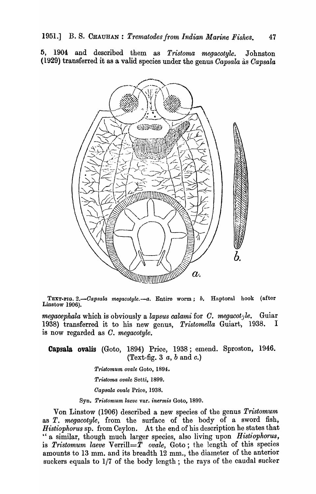6, 1904 and described them as *Tristoma megacotyle.* Johnston (1929) transferred it as a valid species under the genus *Oapsala* as *Oapsala* 



TEXT-FIG. *2.-0apsala megacotyle.-a.* Entire worm; *b.* Haptoral hook (after Linstow 1906).

*megacephala* which is obviously a *lapsus calami* for *O. megacotjle.* Guiar 1938) transferred it to his new genus, *Tristomella* Guiart, 1938. I is now regarded as *O. megacotyle.* 

Capsala ovalis (Goto, 1894) Price, 1938; emend. Sproston, 1946. (Text-fig. 3 *a,* b and *c.)* 

*Triatomum ovale* Goto, 1894.

*Triatoma ovale* Setti, 1899.

*Oapsala ovale* Price, 1938.

Syn. *Tristomum laeve* var. *inermis* Goto, 1899.

Von Linstow (1906) described a new species of the genus *Tristomum*  as *T. megacotyle,* from the surface of the body of a sword fish, *Histiophorus* sp. from Ceylon. At the end of his description he states that " a similar, though much larger species, also living upon *Histiophorus*, is *Tristomum laeve* Verrill= $\tilde{T}$  *ovale*, Goto; the length of this species amounts to 13 mm. and its breadth  $12$  mm., the diameter of the anterior suckers equals to 1/7 of the body length; the rays of the caudal sucker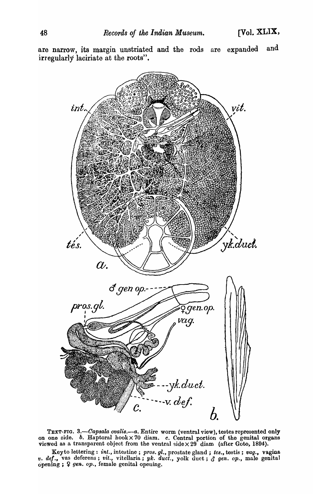are narrow, its margin unstriated and the rods are expanded and irregularly laciriate at the roots".



TEXT-FIG. *3.-0apsala ovalis.-a.* Entire worm (ventral view), testes represented only on one oide. *b.* Haptoral hook X 70 diam. *c.* Central portion of the genital organs viewed as a transparent object from the ventral side  $\times\,29$  diam (after Goto, 1894).

Key to lettering: *int.,* intestine; *pros.* gl., prostnte gland; *tea.,* testis; *vag.,* vagina *v. de!.,* vas deferens; *vit.,* vitellaria; *'Uk. duct.,* yolk duct; ~ *gen. op.,* male genital opening ;  $9 \text{ gen. } op$ , female genital opening.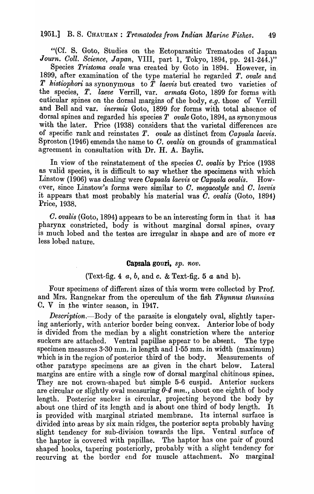"(Cf. S. Goto, Studies on the Ectoparasitic Trematodes of Japan *Journ. Coll. Science, Japan, VIII, part 1, Tokyo, 1894, pp. 241-244.)*"

Species *Tristoma ovale* was created by Goto in 1894. However, in 1899, after examination of the type material he regarded T. *ovale* and T *histiophori* as synonymous to T *laevis* but created two varieties of the species, T. *laeve* Verrill, var. *armata* Goto, 1899 for forms with cuticular spines on the dorsal margins of the body, *e.g.* those of Verrill and Bell and var. *inermis* Goto, 1899 for forms with total absence of dorsal spines and regarded his species *T ovale* Goto, 1894, as synonymous with the later. Price (1938) considers that the varietal differences are of specific rank and reinstates T. *ovale* as distinct from *Capsala laevis.*  Sproston (1946) emends the name to O. *ovalis* on grounds of grammatical agreement in consultation with Dr. H. A. Baylis.

In view of the reinstatement of the species *O. ovalis* by Price (1938 as valid species, it is difficult to say whether the specimens with which Linstow (1906) was dealing, were *Capsala laevis* or *Oapsala ovalis.* However, since Linstow's forms were similar to *O. megacotyle* and *O. laevis*  it appears that most probably his material was  $\tilde{C}$ . *ovalis* (Goto, 1894) Price, 1938.

C. *ovalis* (Goto, 1894) appears to be an interesting form in that it has pharynx constricted, body is without marginal dorsal spines, ovary is much lobed and the testes are irregular in shape and are of more or less lobed nature.

## Capsala gonri, *sp. nov.*

### (Text-fig. 4 *a,* b, and c. & Text-fig. 5 *a* and b).

Four specimens of different sizes of this worm were collected by Prof. and Mrs. Rangnekar from the operculum of the fish *Thynnus thunnina* C. V in the winter season, in 1947.

*Description*. Body of the parasite is elongately oval, slightly tapering anteriorly, with anterior border being convex. Anterior lobe of body is divided from the median by a slight constriction where the anterior suckers are attached. Ventral papillae appear to be absent. The type specimen measures  $3.30$  mm. in length and  $1.55$  mm. in width (maximum) which is in the region of posterior third of the body. Measurements of other paratype specimens are as given in the chart below. Lateral margins are entire with a single row of dorsal marginal chitinous spines. They are not crown-shaped but simple 5-6 cuspid. Anterior suckers are circular or slightly oval measuring *0·4 mm.,* about one eighth of body length. Posterior sucker is circular, projecting beyond the body by about one third of its length and is about one third of body length. It. is provided with marginal striated membrane. Its internal surface is divided into areas by six main ridges, the posterior septa probably having slight tendency for sub-division towards the lips. Ventral surface of the haptor is covered with papillae. The haptor has one pair of gourd shaped hooks, tapering posteriorly, probably with a slight tendency for recurving at the border end for muscle attachment. No marginal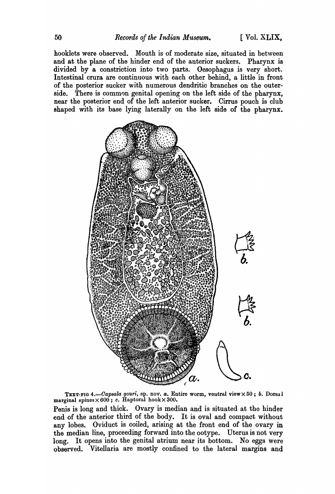hooklets were observed. Mouth is of moderate size, situated in between and at the plane of the hinder end of the anterior suckers. Pharynx is divided by a constriction into two parts. Oesophagus is very short. Intestinal crura are continuous with each other behind, a little in front of the posterior sucker with numerous dendritic branches on the outerside. There is common genital opening on the left side of the pharynx, near the posterior end of the left anterior sucker. Cirrus pouch is club shaped with its base lying laterally on the left side of the pharynx.



TEXT-FIG *4.-0ap8ala gouri,* sp. nov. *a.* Entire worm, ventral view X 50; *b.* Dorsa 1 marginal spines $\times 600$ ; c. Haptoral hook $\times 300$ .

Penis is long and thick. Ovary is median and is situated at the hinder end of the anterior third of the body. It is oval and compact without any lobes. Oviduct is coiled, arising at the front end of the ovary in the median line, proceeding forward into the ootype. Uterus is not very long. It opens into the genital atrium near its bottom. No eggs were observed. Vitellaria are mostly confined to the lateral margins and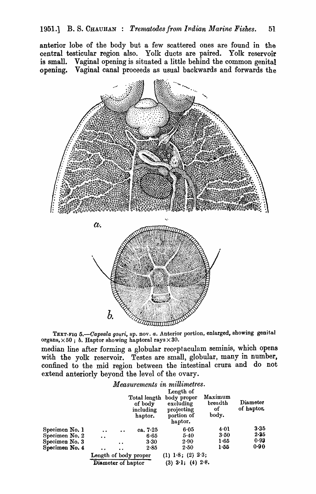anterior lobe of the body but a few scattered ones are found in the central testicular region also. Yolk ducts are paired. Yolk reservoir is small. Vaginal opening is situated a little behind the common genital opening. Vaginal canal proceeds as usual backwards and forwards the



TEXT-FIG 5.-Capsala gouri, sp. nov. *a*. Anterior portion, enlarged, showing genital organs,  $\times 50$ ; *b.* Haptor showing haptoral rays  $\times 30$ .

median line after forming a globular recpptaculam seminis, which opens with the yolk reservoir. Testes are small, globular, many in number, confined to the mid region between the intestinal crura and do not extend anteriorly beyond the level of the ovary.

|                | Measurements in millimetres. |                 |                                                 |                                                                              |                                   |                        |
|----------------|------------------------------|-----------------|-------------------------------------------------|------------------------------------------------------------------------------|-----------------------------------|------------------------|
|                |                              |                 | Total length<br>of body<br>including<br>haptor. | Length of<br>body proper<br>excluding<br>projecting<br>portion of<br>haptor. | Maximum<br>breadth<br>of<br>body. | Diameter<br>of haptor. |
| Specimen No. 1 | $\ddot{\phantom{a}}$         |                 | ca. $7.25$                                      | 6.05                                                                         | 4.01                              | 3.35                   |
| Specimen No. 2 | $\ddot{\phantom{a}}$         |                 | 6.65                                            | 5.40                                                                         | 3.50                              | $2 - 35$               |
| Specimen No. 3 |                              | $\cdot$ $\cdot$ | 3.30                                            | 2.90                                                                         | 1.65                              | 0.93                   |
| Specimen No. 4 | . .                          | $\bullet$       | 2.85                                            | 2.50                                                                         | 1.55                              | 0.90                   |
|                | Length of body proper        |                 |                                                 | $(1)$ 1.8; $(2)$ 2.3;                                                        |                                   |                        |
|                | Diameter of haptor           |                 |                                                 | $(3)$ 3.1; $(4)$ 2.8.                                                        |                                   |                        |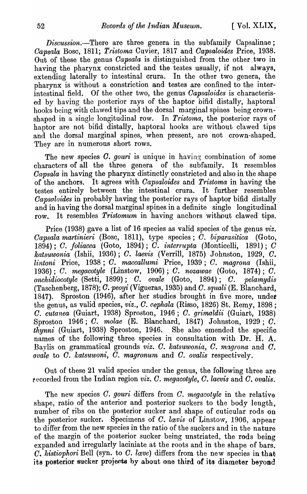$Discussion$ .-There are three genera in the subfamily Capsalinae; *Oapsala* Bosc, 1811; *Tristoma* Cuvier, 1817 and *Oapsaloides* Price, 1938. Out of these the genus *Capsala* is distinguished from the other two in having the pharynx constricted and the testes usually, if not always, extending laterally to intestinal crura. In the other two genera, the pharynx is without a constriction and testes are confined to the interintestinal field. Of the other two, the genus *Oapsaloides* is characterised by having the posterior rays of the haptor bifid distally, haptoral hooks being with clawed tips and the dorsal marginal spines being crownshaped in a single longitudinal row. In *Tristoma*, the posterior rays of haptor are not bifid distally, haptoral hooks are without clawed tips and the dorsal marginal spines, when present, are not crown-shaped. They are in numerous short rows.

The new species *O. gouri* is unique in having combination of some characters of all the three genera of the subfamily. It resembles *Oapsala* in having the pharynx distinctly constricted and also in the shape of the anchors. It agrees with *Oapsaloides* and *T'ristoma* in having the testes entirely between the intestinal crura. It further resembles *Capsoloides* in probably having the posterior rays of haptor bifid distally and in having the dorsal marginal spines in a definite single longitudinal row. It resembles *Tristomum* in having anchors without clawed tips.

Price (1938) gave a list of 16 species as valid species of the genus *viz.*   $Capsala$  martinieri (Bosc, 1811), type species;  $\overline{C}$ . biparasitica (Goto, 1894); C. foliacea (Goto, 1894); C. *interrupta* (Monticelli, 1891); C *katsuwonia* (Ishii, 1936); O. *laevis* (Verrill, 1875) Johnston, 1929, O. *lintoni* Price, 1938; O. *maccallumi* Price, 1939; O. *magrona* (Ishii, 1936); O. *megacotyle* (Linstow, 1906); *C. nozawae* (Goto, 1874); O. *onchid-iocotyle* (Setti, 1899); O. *ovale* (Goto, 1894); O. *pelamydis*  (Taschenberg, 1878); O. *peoyi* (Vigueras, 1935) and O. *squali* (E. Blanchard, 1847). Sproston (1946), after her studies brought in five more, under the genus, as valid species, *viz.,* O. *cephala* (Risso, 1826) St. Remy, 1898 ; C. *cutanea* (Guiart, 1938) Sproston, 1946; C. *grimaldii* (Guiart, 1938) Sproston 1946; O. *molae* (E. Blanchard, 1847) Johnston, 1929; O. *thynni* (Guiart, 1938) Sproston, 1946. She also emended the specific names of' the following three species in consultation with Dr. H. A. Baylis on grammatical grounds *viz. C. katsuwonia, C. magrona* and C. *ovale* to O. *katsuwoni,* O. *magronum* and O. *ovalis* respectively.

Out of these 21 valid species under the genus, the following three are recorded from the Indian region *viz. C. megacotyle, C. laevis* and C. *ovalis.* 

The new species O. *gouri* differs from C. *megacotyle* in the relative shape, ratio of the anterior and posterior suckers to the body length, number of ribs on the posterior sucker and shape of cuticular rods on the posterior sucker. Specimens of C. *lavis* of Linstow, 1906, appear to differ from the new species in the ratio of the suckers and in the nature of the margin of the posterior sucker being unstriated, the rods being expanded and irregularly laciniate at the roots and in the shape of bars. O. *histiophori* Bell (syn. to O. *lmve)* differs from the new species in that its posterior sucker projects by about one third of its diameter beyond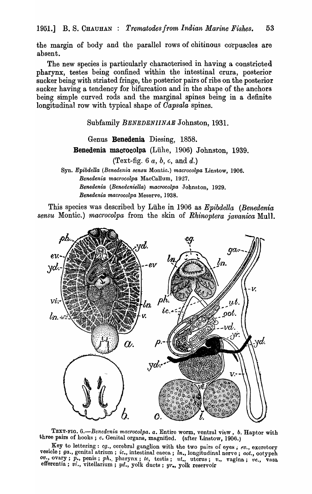the margin of body and the parallel rows of chitinous corpuscles are absent.

The new species is particularly characterised in having a constricted pharynx, testes being confined within the intestinal crura, posterior sucker being with striated fringe, the posterior pairs of ribs on the posterior sucker having a tendency for bifurcation and in the shape of the anchors being simple curved rods and the marginal spines being in a definite longitudinal row with typical shape of *Oapsala* spines.

Subfamily *BENEDENIINAE* Johnston, 1931.

Genus Benedenia Diesing, 1858. Benedenia macrocolpa (Liihe, 1906) Johnston, 1939.

(Text-fig. 6  $a, b, c, \text{ and } d$ .)

Syn. *Epibdella (Benedenia sensu* Montie.) *macrocolpa* Linstow, 1906. *Benedenia macrocolpa* MacCallum, 1927. *Benedenia (Benedeniella) macr.ocolpa* Johnston, 1929. *Benedenia macrocolpa* Meserve, 1938.

This species was describecl by Luhe in 1906 as *Epibdella (Benedenia*  sensu Montic.) *macrocolpa* from the skin of *Rhinoptera javanica* Mull.



TEXT-FIG. 6.-Benedenia macrocolpa. a. Entire worm, ventral view, *b.* Haptor with three pairs of hooks; c. Genital organs, magnified. (after Linstow, 1906.)

Key to lettering: *cg.*, cerebral ganglion with the two pairs of eyes; ev., excretory vesicle; *ga.*, genital atrium; *ic.*, intestinal caeca; *ln.*, longitudinal nerve; *oot.*, *ootypeh*  $ov_n$ ,  $ovary$ ; *p.*, penis; *ph.* pharynx; *te*, testis; *ut.*, uterus; *v.*, vagina; *ve.*, vasa efferentia; vi., vitellarium; yd., yolk ducts; yr., yolk reservoir